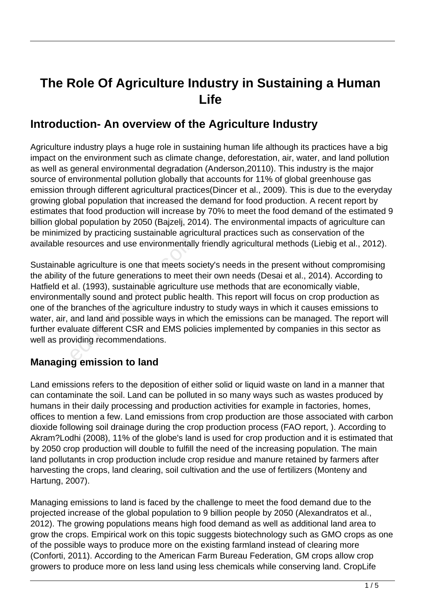# **The Role Of Agriculture Industry in Sustaining a Human Life**

## **Introduction- An overview of the Agriculture Industry**

Agriculture industry plays a huge role in sustaining human life although its practices have a big impact on the environment such as climate change, deforestation, air, water, and land pollution as well as general environmental degradation (Anderson,20110). This industry is the major source of environmental pollution globally that accounts for 11% of global greenhouse gas emission through different agricultural practices(Dincer et al., 2009). This is due to the everyday growing global population that increased the demand for food production. A recent report by estimates that food production will increase by 70% to meet the food demand of the estimated 9 billion global population by 2050 (Bajzelj, 2014). The environmental impacts of agriculture can be minimized by practicing sustainable agricultural practices such as conservation of the available resources and use environmentally friendly agricultural methods (Liebig et al., 2012).

Sustainable agriculture is one that meets society's needs in the present without compromising the ability of the future generations to meet their own needs (Desai et al., 2014). According to Hatfield et al. (1993), sustainable agriculture use methods that are economically viable, environmentally sound and protect public health. This report will focus on crop production as one of the branches of the agriculture industry to study ways in which it causes emissions to water, air, and land and possible ways in which the emissions can be managed. The report will further evaluate different CSR and EMS policies implemented by companies in this sector as well as providing recommendations. esources and use environmentally<br>e agriculture is one that meets so-<br>of the future generations to meet t<br>al. (1993), sustainable agriculture<br>ntally sound and protect public he<br>branches of the agriculture indust<br>and land an

### **Managing emission to land**

Land emissions refers to the deposition of either solid or liquid waste on land in a manner that can contaminate the soil. Land can be polluted in so many ways such as wastes produced by humans in their daily processing and production activities for example in factories, homes, offices to mention a few. Land emissions from crop production are those associated with carbon dioxide following soil drainage during the crop production process (FAO report, ). According to Akram?Lodhi (2008), 11% of the globe's land is used for crop production and it is estimated that by 2050 crop production will double to fulfill the need of the increasing population. The main land pollutants in crop production include crop residue and manure retained by farmers after harvesting the crops, land clearing, soil cultivation and the use of fertilizers (Monteny and Hartung, 2007).

Managing emissions to land is faced by the challenge to meet the food demand due to the projected increase of the global population to 9 billion people by 2050 (Alexandratos et al., 2012). The growing populations means high food demand as well as additional land area to grow the crops. Empirical work on this topic suggests biotechnology such as GMO crops as one of the possible ways to produce more on the existing farmland instead of clearing more (Conforti, 2011). According to the American Farm Bureau Federation, GM crops allow crop growers to produce more on less land using less chemicals while conserving land. CropLife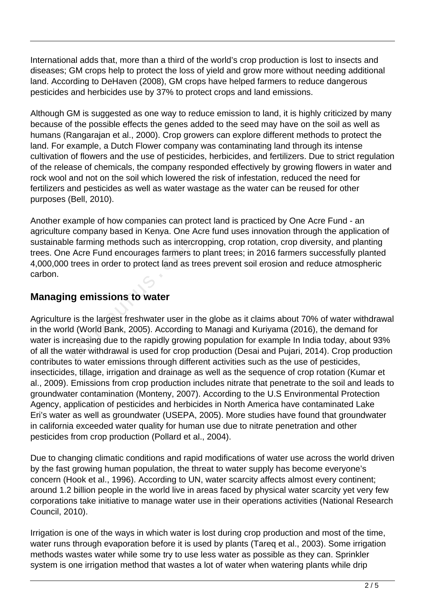International adds that, more than a third of the world's crop production is lost to insects and diseases; GM crops help to protect the loss of yield and grow more without needing additional land. According to DeHaven (2008), GM crops have helped farmers to reduce dangerous pesticides and herbicides use by 37% to protect crops and land emissions.

Although GM is suggested as one way to reduce emission to land, it is highly criticized by many because of the possible effects the genes added to the seed may have on the soil as well as humans (Rangarajan et al., 2000). Crop growers can explore different methods to protect the land. For example, a Dutch Flower company was contaminating land through its intense cultivation of flowers and the use of pesticides, herbicides, and fertilizers. Due to strict regulation of the release of chemicals, the company responded effectively by growing flowers in water and rock wool and not on the soil which lowered the risk of infestation, reduced the need for fertilizers and pesticides as well as water wastage as the water can be reused for other purposes (Bell, 2010).

Another example of how companies can protect land is practiced by One Acre Fund - an agriculture company based in Kenya. One Acre fund uses innovation through the application of sustainable farming methods such as intercropping, crop rotation, crop diversity, and planting trees. One Acre Fund encourages farmers to plant trees; in 2016 farmers successfully planted 4,000,000 trees in order to protect land as trees prevent soil erosion and reduce atmospheric carbon.

#### **Managing emissions to water**

Agriculture is the largest freshwater user in the globe as it claims about 70% of water withdrawal in the world (World Bank, 2005). According to Managi and Kuriyama (2016), the demand for water is increasing due to the rapidly growing population for example In India today, about 93% of all the water withdrawal is used for crop production (Desai and Pujari, 2014). Crop production contributes to water emissions through different activities such as the use of pesticides, insecticides, tillage, irrigation and drainage as well as the sequence of crop rotation (Kumar et al., 2009). Emissions from crop production includes nitrate that penetrate to the soil and leads to groundwater contamination (Monteny, 2007). According to the U.S Environmental Protection Agency, application of pesticides and herbicides in North America have contaminated Lake Eri's water as well as groundwater (USEPA, 2005). More studies have found that groundwater in california exceeded water quality for human use due to nitrate penetration and other pesticides from crop production (Pollard et al., 2004). e farming methods such as intercrearing the Acrearing farmers to<br>trees in order to protect land as trees in order to protect land as trees<br>is the largest freshwater user in to<br>d (World Bank, 2005). According to<br>creasing du

Due to changing climatic conditions and rapid modifications of water use across the world driven by the fast growing human population, the threat to water supply has become everyone's concern (Hook et al., 1996). According to UN, water scarcity affects almost every continent; around 1.2 billion people in the world live in areas faced by physical water scarcity yet very few corporations take initiative to manage water use in their operations activities (National Research Council, 2010).

Irrigation is one of the ways in which water is lost during crop production and most of the time, water runs through evaporation before it is used by plants (Tareq et al., 2003). Some irrigation methods wastes water while some try to use less water as possible as they can. Sprinkler system is one irrigation method that wastes a lot of water when watering plants while drip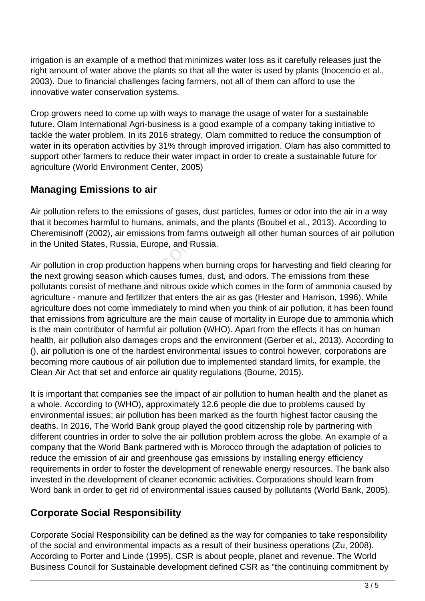irrigation is an example of a method that minimizes water loss as it carefully releases just the right amount of water above the plants so that all the water is used by plants (Inocencio et al., 2003). Due to financial challenges facing farmers, not all of them can afford to use the innovative water conservation systems.

Crop growers need to come up with ways to manage the usage of water for a sustainable future. Olam International Agri-business is a good example of a company taking initiative to tackle the water problem. In its 2016 strategy, Olam committed to reduce the consumption of water in its operation activities by 31% through improved irrigation. Olam has also committed to support other farmers to reduce their water impact in order to create a sustainable future for agriculture (World Environment Center, 2005)

## **Managing Emissions to air**

Air pollution refers to the emissions of gases, dust particles, fumes or odor into the air in a way that it becomes harmful to humans, animals, and the plants (Boubel et al., 2013). According to Cheremisinoff (2002), air emissions from farms outweigh all other human sources of air pollution in the United States, Russia, Europe, and Russia.

Air pollution in crop production happens when burning crops for harvesting and field clearing for the next growing season which causes fumes, dust, and odors. The emissions from these pollutants consist of methane and nitrous oxide which comes in the form of ammonia caused by agriculture - manure and fertilizer that enters the air as gas (Hester and Harrison, 1996). While agriculture does not come immediately to mind when you think of air pollution, it has been found that emissions from agriculture are the main cause of mortality in Europe due to ammonia which is the main contributor of harmful air pollution (WHO). Apart from the effects it has on human health, air pollution also damages crops and the environment (Gerber et al., 2013). According to (), air pollution is one of the hardest environmental issues to control however, corporations are becoming more cautious of air pollution due to implemented standard limits, for example, the Clean Air Act that set and enforce air quality regulations (Bourne, 2015). ed States, Russia, Europe, and Run in crop production happens where<br>owing season which causes fume<br>consist of methane and nitrous ox<br>- manure and fertilizer that enters<br>does not come immediately to mi<br>ions from agriculture

It is important that companies see the impact of air pollution to human health and the planet as a whole. According to (WHO), approximately 12.6 people die due to problems caused by environmental issues; air pollution has been marked as the fourth highest factor causing the deaths. In 2016, The World Bank group played the good citizenship role by partnering with different countries in order to solve the air pollution problem across the globe. An example of a company that the World Bank partnered with is Morocco through the adaptation of policies to reduce the emission of air and greenhouse gas emissions by installing energy efficiency requirements in order to foster the development of renewable energy resources. The bank also invested in the development of cleaner economic activities. Corporations should learn from Word bank in order to get rid of environmental issues caused by pollutants (World Bank, 2005).

## **Corporate Social Responsibility**

Corporate Social Responsibility can be defined as the way for companies to take responsibility of the social and environmental impacts as a result of their business operations (Zu, 2008). According to Porter and Linde (1995), CSR is about people, planet and revenue. The World Business Council for Sustainable development defined CSR as "the continuing commitment by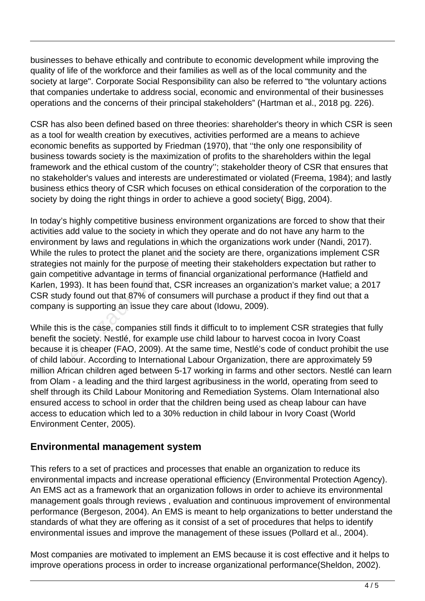businesses to behave ethically and contribute to economic development while improving the quality of life of the workforce and their families as well as of the local community and the society at large". Corporate Social Responsibility can also be referred to "the voluntary actions that companies undertake to address social, economic and environmental of their businesses operations and the concerns of their principal stakeholders" (Hartman et al., 2018 pg. 226).

CSR has also been defined based on three theories: shareholder's theory in which CSR is seen as a tool for wealth creation by executives, activities performed are a means to achieve economic benefits as supported by Friedman (1970), that ''the only one responsibility of business towards society is the maximization of profits to the shareholders within the legal framework and the ethical custom of the country''; stakeholder theory of CSR that ensures that no stakeholder's values and interests are underestimated or violated (Freema, 1984); and lastly business ethics theory of CSR which focuses on ethical consideration of the corporation to the society by doing the right things in order to achieve a good society( Bigg, 2004).

In today's highly competitive business environment organizations are forced to show that their activities add value to the society in which they operate and do not have any harm to the environment by laws and regulations in which the organizations work under (Nandi, 2017). While the rules to protect the planet and the society are there, organizations implement CSR strategies not mainly for the purpose of meeting their stakeholders expectation but rather to gain competitive advantage in terms of financial organizational performance (Hatfield and Karlen, 1993). It has been found that, CSR increases an organization's market value; a 2017 CSR study found out that 87% of consumers will purchase a product if they find out that a company is supporting an issue they care about (Idowu, 2009). nt by laws and regulations in whic<br>rules to protect the planet and the<br>not mainly for the purpose of mee<br>etitive advantage in terms of finan<br>93). It has been found that, CSR is<br>r found out that 87% of consumers<br>s supportin

While this is the case, companies still finds it difficult to to implement CSR strategies that fully benefit the society. Nestlé, for example use child labour to harvest cocoa in Ivory Coast because it is cheaper (FAO, 2009). At the same time, Nestlé's code of conduct prohibit the use of child labour. According to International Labour Organization, there are approximately 59 million African children aged between 5-17 working in farms and other sectors. Nestlé can learn from Olam - a leading and the third largest agribusiness in the world, operating from seed to shelf through its Child Labour Monitoring and Remediation Systems. Olam International also ensured access to school in order that the children being used as cheap labour can have access to education which led to a 30% reduction in child labour in Ivory Coast (World Environment Center, 2005).

#### **Environmental management system**

This refers to a set of practices and processes that enable an organization to reduce its environmental impacts and increase operational efficiency (Environmental Protection Agency). An EMS act as a framework that an organization follows in order to achieve its environmental management goals through reviews , evaluation and continuous improvement of environmental performance (Bergeson, 2004). An EMS is meant to help organizations to better understand the standards of what they are offering as it consist of a set of procedures that helps to identify environmental issues and improve the management of these issues (Pollard et al., 2004).

Most companies are motivated to implement an EMS because it is cost effective and it helps to improve operations process in order to increase organizational performance(Sheldon, 2002).